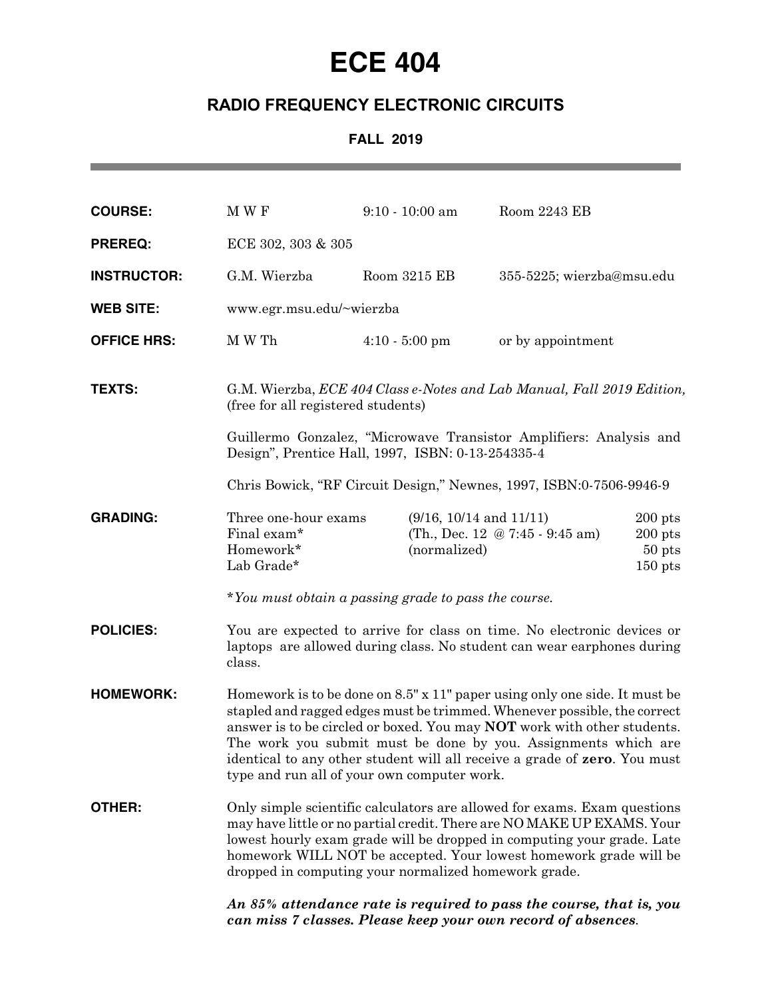## **ECE 404**

## **RADIO FREQUENCY ELECTRONIC CIRCUITS**

## **FALL 2019**

| <b>COURSE:</b>     | M W F                                                                                                                                                                                                                                                                                                                                                                                                                                  |  | $9:10 - 10:00$ am                           | Room 2243 EB                    |                                                 |
|--------------------|----------------------------------------------------------------------------------------------------------------------------------------------------------------------------------------------------------------------------------------------------------------------------------------------------------------------------------------------------------------------------------------------------------------------------------------|--|---------------------------------------------|---------------------------------|-------------------------------------------------|
| <b>PREREQ:</b>     | ECE 302, 303 & 305                                                                                                                                                                                                                                                                                                                                                                                                                     |  |                                             |                                 |                                                 |
| <b>INSTRUCTOR:</b> | G.M. Wierzba                                                                                                                                                                                                                                                                                                                                                                                                                           |  | Room 3215 EB                                | 355-5225; wierzba@msu.edu       |                                                 |
| <b>WEB SITE:</b>   | www.egr.msu.edu/~wierzba                                                                                                                                                                                                                                                                                                                                                                                                               |  |                                             |                                 |                                                 |
| <b>OFFICE HRS:</b> | M W Th                                                                                                                                                                                                                                                                                                                                                                                                                                 |  | $4:10 - 5:00$ pm                            | or by appointment               |                                                 |
| <b>TEXTS:</b>      | G.M. Wierzba, ECE 404 Class e-Notes and Lab Manual, Fall 2019 Edition,<br>(free for all registered students)<br>Guillermo Gonzalez, "Microwave Transistor Amplifiers: Analysis and                                                                                                                                                                                                                                                     |  |                                             |                                 |                                                 |
|                    | Design", Prentice Hall, 1997, ISBN: 0-13-254335-4<br>Chris Bowick, "RF Circuit Design," Newnes, 1997, ISBN:0-7506-9946-9                                                                                                                                                                                                                                                                                                               |  |                                             |                                 |                                                 |
|                    |                                                                                                                                                                                                                                                                                                                                                                                                                                        |  |                                             |                                 |                                                 |
| <b>GRADING:</b>    | Three one-hour exams<br>Final exam*<br>Homework*<br>Lab Grade*                                                                                                                                                                                                                                                                                                                                                                         |  | $(9/16, 10/14$ and $11/11)$<br>(normalized) | (Th., Dec. 12 @ 7:45 - 9:45 am) | $200$ pts<br>$200$ pts<br>$50$ pts<br>$150$ pts |
|                    | *You must obtain a passing grade to pass the course.                                                                                                                                                                                                                                                                                                                                                                                   |  |                                             |                                 |                                                 |
| <b>POLICIES:</b>   | You are expected to arrive for class on time. No electronic devices or<br>laptops are allowed during class. No student can wear earphones during<br>class.                                                                                                                                                                                                                                                                             |  |                                             |                                 |                                                 |
| <b>HOMEWORK:</b>   | Homework is to be done on 8.5" x 11" paper using only one side. It must be<br>stapled and ragged edges must be trimmed. Whenever possible, the correct<br>answer is to be circled or boxed. You may <b>NOT</b> work with other students.<br>The work you submit must be done by you. Assignments which are<br>identical to any other student will all receive a grade of zero. You must<br>type and run all of your own computer work. |  |                                             |                                 |                                                 |
| <b>OTHER:</b>      | Only simple scientific calculators are allowed for exams. Exam questions<br>may have little or no partial credit. There are NO MAKE UP EXAMS. Your<br>lowest hourly exam grade will be dropped in computing your grade. Late<br>homework WILL NOT be accepted. Your lowest homework grade will be<br>dropped in computing your normalized homework grade.                                                                              |  |                                             |                                 |                                                 |
|                    | An 85% attendance rate is required to pass the course, that is, you                                                                                                                                                                                                                                                                                                                                                                    |  |                                             |                                 |                                                 |

*can miss 7 classes. Please keep your own record of absences.*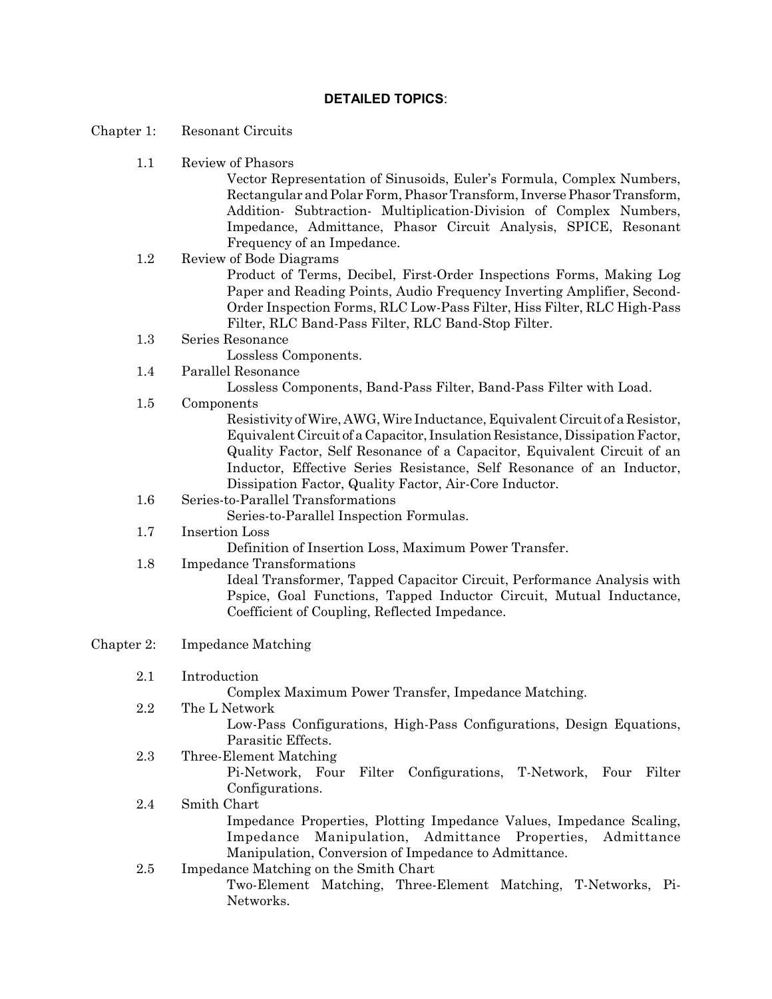## **DETAILED TOPICS**:

- Chapter 1: Resonant Circuits
	- 1.1 Review of Phasors

Vector Representation of Sinusoids, Euler's Formula, Complex Numbers, Rectangular and Polar Form, Phasor Transform, Inverse Phasor Transform, Addition- Subtraction- Multiplication-Division of Complex Numbers, Impedance, Admittance, Phasor Circuit Analysis, SPICE, Resonant Frequency of an Impedance.

- 1.2 Review of Bode Diagrams Product of Terms, Decibel, First-Order Inspections Forms, Making Log Paper and Reading Points, Audio Frequency Inverting Amplifier, Second-Order Inspection Forms, RLC Low-Pass Filter, Hiss Filter, RLC High-Pass Filter, RLC Band-Pass Filter, RLC Band-Stop Filter.
- 1.3 Series Resonance

Lossless Components.

1.4 Parallel Resonance

Lossless Components, Band-Pass Filter, Band-Pass Filter with Load.

1.5 Components

Resistivity of Wire, AWG, Wire Inductance, Equivalent Circuit of a Resistor, Equivalent Circuit of a Capacitor, Insulation Resistance, Dissipation Factor, Quality Factor, Self Resonance of a Capacitor, Equivalent Circuit of an Inductor, Effective Series Resistance, Self Resonance of an Inductor, Dissipation Factor, Quality Factor, Air-Core Inductor.

- 1.6 Series-to-Parallel Transformations
- Series-to-Parallel Inspection Formulas.
- 1.7 Insertion Loss

Definition of Insertion Loss, Maximum Power Transfer.

1.8 Impedance Transformations

Ideal Transformer, Tapped Capacitor Circuit, Performance Analysis with Pspice, Goal Functions, Tapped Inductor Circuit, Mutual Inductance, Coefficient of Coupling, Reflected Impedance.

- Chapter 2: Impedance Matching
	- 2.1 Introduction

Complex Maximum Power Transfer, Impedance Matching.

- 2.2 The L Network Low-Pass Configurations, High-Pass Configurations, Design Equations, Parasitic Effects.
	- 2.3 Three-Element Matching

Pi-Network, Four Filter Configurations, T-Network, Four Filter Configurations.

- 2.4 Smith Chart Impedance Properties, Plotting Impedance Values, Impedance Scaling, Impedance Manipulation, Admittance Properties, Admittance Manipulation, Conversion of Impedance to Admittance.
- 2.5 Impedance Matching on the Smith Chart Two-Element Matching, Three-Element Matching, T-Networks, Pi-Networks.